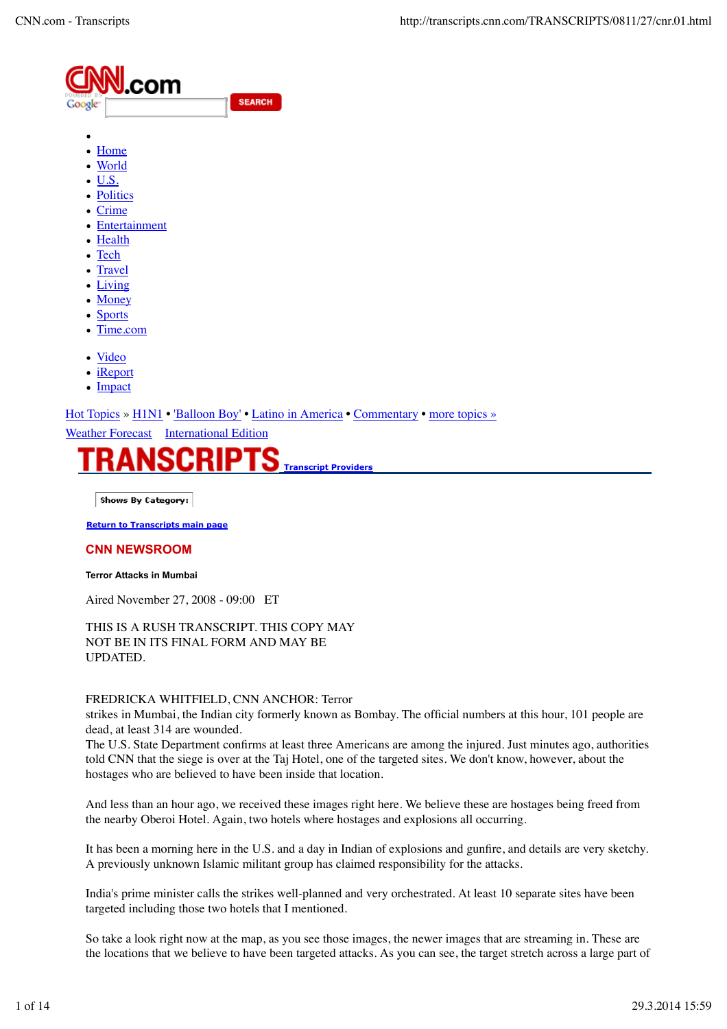| .com<br>в9<br>WERED<br>DΙ<br>Google <sup>-</sup> | <b>SEARCH</b> |
|--------------------------------------------------|---------------|
| Home                                             |               |

- <u>Home</u>
- World U.S.
- 
- Politics
- Crime
- Entertainment
- Health
- Tech
- Travel
- Living
- Money
- Sports
- Time.com
- Video
- iReport
- Impact

Hot Topics » H1N1 • 'Balloon Boy' • Latino in America • Commentary • more topics »

Weather Forecast International Edition



Shows By Category:

**Return to Transcripts main page**

#### **CNN NEWSROOM**

#### **Terror Attacks in Mumbai**

Aired November 27, 2008 - 09:00 ET

THIS IS A RUSH TRANSCRIPT. THIS COPY MAY NOT BE IN ITS FINAL FORM AND MAY BE UPDATED.

#### FREDRICKA WHITFIELD, CNN ANCHOR: Terror

strikes in Mumbai, the Indian city formerly known as Bombay. The official numbers at this hour, 101 people are dead, at least 314 are wounded.

The U.S. State Department confirms at least three Americans are among the injured. Just minutes ago, authorities told CNN that the siege is over at the Taj Hotel, one of the targeted sites. We don't know, however, about the hostages who are believed to have been inside that location.

And less than an hour ago, we received these images right here. We believe these are hostages being freed from the nearby Oberoi Hotel. Again, two hotels where hostages and explosions all occurring.

It has been a morning here in the U.S. and a day in Indian of explosions and gunfire, and details are very sketchy. A previously unknown Islamic militant group has claimed responsibility for the attacks.

India's prime minister calls the strikes well-planned and very orchestrated. At least 10 separate sites have been targeted including those two hotels that I mentioned.

So take a look right now at the map, as you see those images, the newer images that are streaming in. These are the locations that we believe to have been targeted attacks. As you can see, the target stretch across a large part of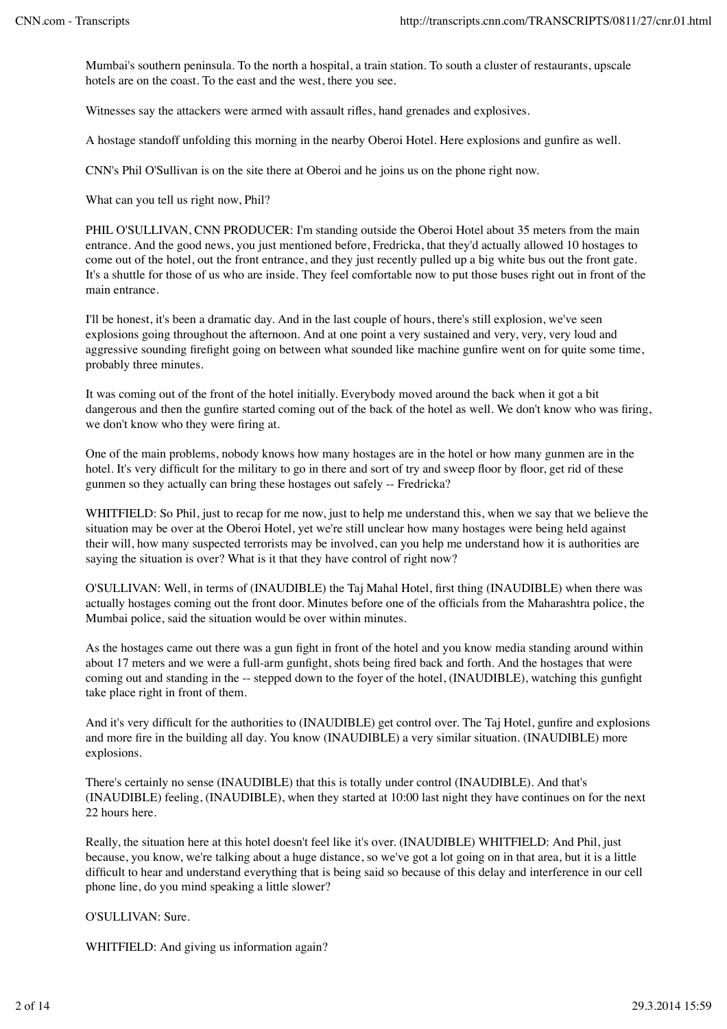Mumbai's southern peninsula. To the north a hospital, a train station. To south a cluster of restaurants, upscale hotels are on the coast. To the east and the west, there you see.

Witnesses say the attackers were armed with assault rifles, hand grenades and explosives.

A hostage standoff unfolding this morning in the nearby Oberoi Hotel. Here explosions and gunfire as well.

CNN's Phil O'Sullivan is on the site there at Oberoi and he joins us on the phone right now.

What can you tell us right now, Phil?

PHIL O'SULLIVAN, CNN PRODUCER: I'm standing outside the Oberoi Hotel about 35 meters from the main entrance. And the good news, you just mentioned before, Fredricka, that they'd actually allowed 10 hostages to come out of the hotel, out the front entrance, and they just recently pulled up a big white bus out the front gate. It's a shuttle for those of us who are inside. They feel comfortable now to put those buses right out in front of the main entrance.

I'll be honest, it's been a dramatic day. And in the last couple of hours, there's still explosion, we've seen explosions going throughout the afternoon. And at one point a very sustained and very, very, very loud and aggressive sounding firefight going on between what sounded like machine gunfire went on for quite some time, probably three minutes.

It was coming out of the front of the hotel initially. Everybody moved around the back when it got a bit dangerous and then the gunfire started coming out of the back of the hotel as well. We don't know who was firing, we don't know who they were firing at.

One of the main problems, nobody knows how many hostages are in the hotel or how many gunmen are in the hotel. It's very difficult for the military to go in there and sort of try and sweep floor by floor, get rid of these gunmen so they actually can bring these hostages out safely -- Fredricka?

WHITFIELD: So Phil, just to recap for me now, just to help me understand this, when we say that we believe the situation may be over at the Oberoi Hotel, yet we're still unclear how many hostages were being held against their will, how many suspected terrorists may be involved, can you help me understand how it is authorities are saying the situation is over? What is it that they have control of right now?

O'SULLIVAN: Well, in terms of (INAUDIBLE) the Taj Mahal Hotel, first thing (INAUDIBLE) when there was actually hostages coming out the front door. Minutes before one of the officials from the Maharashtra police, the Mumbai police, said the situation would be over within minutes.

As the hostages came out there was a gun fight in front of the hotel and you know media standing around within about 17 meters and we were a full-arm gunfight, shots being fired back and forth. And the hostages that were coming out and standing in the -- stepped down to the foyer of the hotel, (INAUDIBLE), watching this gunfight take place right in front of them.

And it's very difficult for the authorities to (INAUDIBLE) get control over. The Taj Hotel, gunfire and explosions and more fire in the building all day. You know (INAUDIBLE) a very similar situation. (INAUDIBLE) more explosions.

There's certainly no sense (INAUDIBLE) that this is totally under control (INAUDIBLE). And that's (INAUDIBLE) feeling, (INAUDIBLE), when they started at 10:00 last night they have continues on for the next 22 hours here.

Really, the situation here at this hotel doesn't feel like it's over. (INAUDIBLE) WHITFIELD: And Phil, just because, you know, we're talking about a huge distance, so we've got a lot going on in that area, but it is a little difficult to hear and understand everything that is being said so because of this delay and interference in our cell phone line, do you mind speaking a little slower?

O'SULLIVAN: Sure.

WHITFIELD: And giving us information again?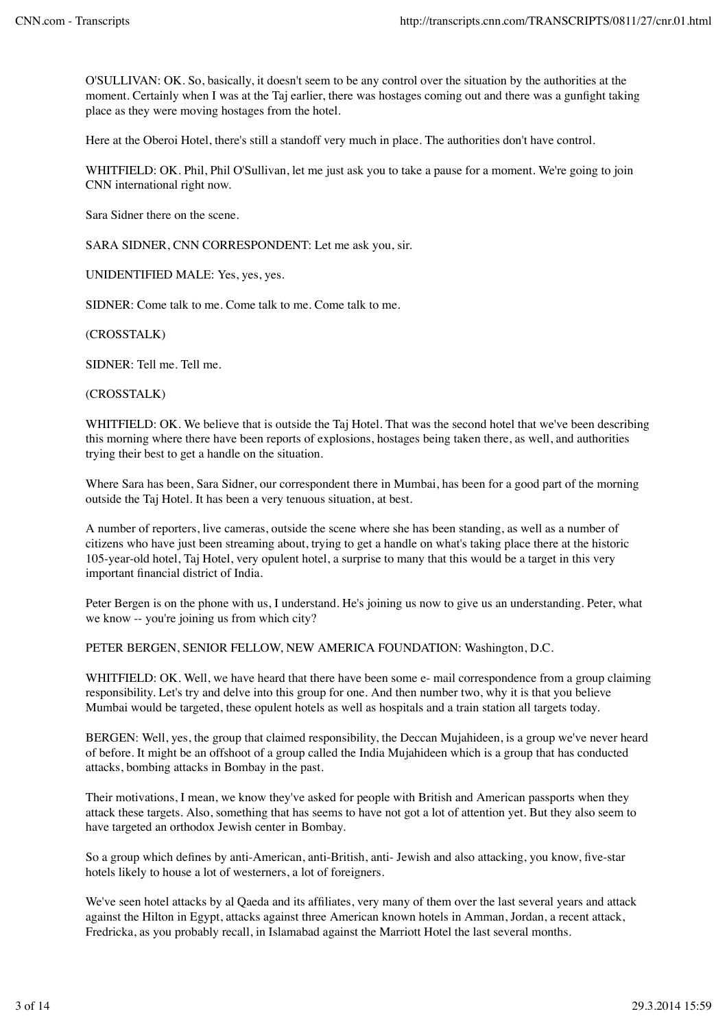O'SULLIVAN: OK. So, basically, it doesn't seem to be any control over the situation by the authorities at the moment. Certainly when I was at the Taj earlier, there was hostages coming out and there was a gunfight taking place as they were moving hostages from the hotel.

Here at the Oberoi Hotel, there's still a standoff very much in place. The authorities don't have control.

WHITFIELD: OK. Phil, Phil O'Sullivan, let me just ask you to take a pause for a moment. We're going to join CNN international right now.

Sara Sidner there on the scene.

SARA SIDNER, CNN CORRESPONDENT: Let me ask you, sir.

UNIDENTIFIED MALE: Yes, yes, yes.

SIDNER: Come talk to me. Come talk to me. Come talk to me.

(CROSSTALK)

SIDNER: Tell me. Tell me.

(CROSSTALK)

WHITFIELD: OK. We believe that is outside the Taj Hotel. That was the second hotel that we've been describing this morning where there have been reports of explosions, hostages being taken there, as well, and authorities trying their best to get a handle on the situation.

Where Sara has been, Sara Sidner, our correspondent there in Mumbai, has been for a good part of the morning outside the Taj Hotel. It has been a very tenuous situation, at best.

A number of reporters, live cameras, outside the scene where she has been standing, as well as a number of citizens who have just been streaming about, trying to get a handle on what's taking place there at the historic 105-year-old hotel, Taj Hotel, very opulent hotel, a surprise to many that this would be a target in this very important financial district of India.

Peter Bergen is on the phone with us, I understand. He's joining us now to give us an understanding. Peter, what we know -- you're joining us from which city?

PETER BERGEN, SENIOR FELLOW, NEW AMERICA FOUNDATION: Washington, D.C.

WHITFIELD: OK. Well, we have heard that there have been some e- mail correspondence from a group claiming responsibility. Let's try and delve into this group for one. And then number two, why it is that you believe Mumbai would be targeted, these opulent hotels as well as hospitals and a train station all targets today.

BERGEN: Well, yes, the group that claimed responsibility, the Deccan Mujahideen, is a group we've never heard of before. It might be an offshoot of a group called the India Mujahideen which is a group that has conducted attacks, bombing attacks in Bombay in the past.

Their motivations, I mean, we know they've asked for people with British and American passports when they attack these targets. Also, something that has seems to have not got a lot of attention yet. But they also seem to have targeted an orthodox Jewish center in Bombay.

So a group which defines by anti-American, anti-British, anti- Jewish and also attacking, you know, five-star hotels likely to house a lot of westerners, a lot of foreigners.

We've seen hotel attacks by al Qaeda and its affiliates, very many of them over the last several years and attack against the Hilton in Egypt, attacks against three American known hotels in Amman, Jordan, a recent attack, Fredricka, as you probably recall, in Islamabad against the Marriott Hotel the last several months.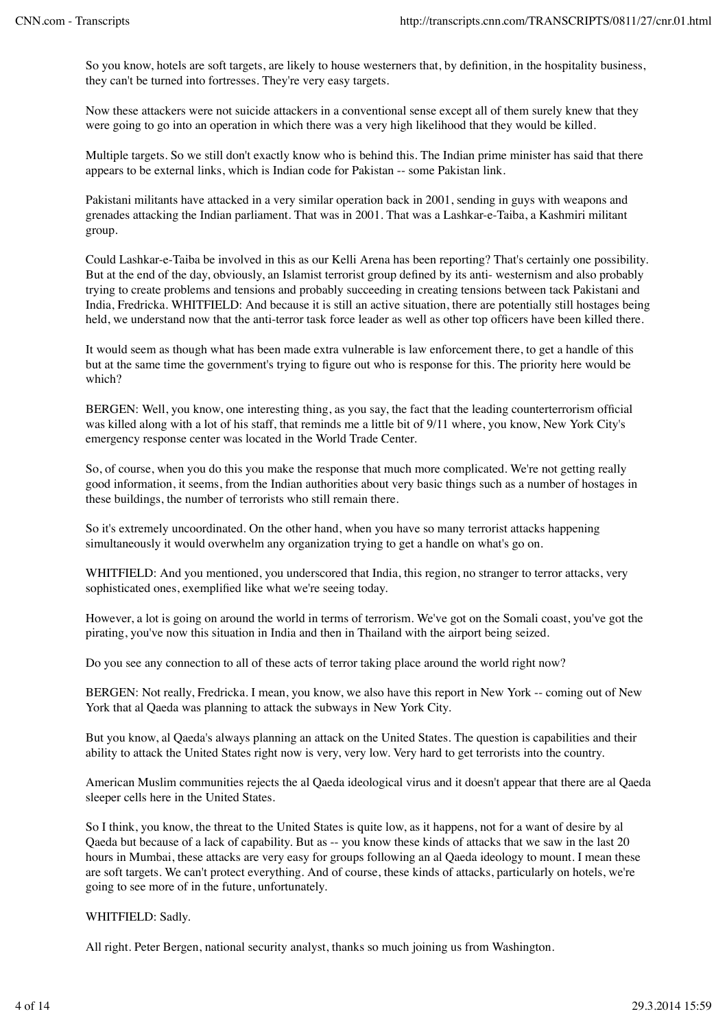So you know, hotels are soft targets, are likely to house westerners that, by definition, in the hospitality business, they can't be turned into fortresses. They're very easy targets.

Now these attackers were not suicide attackers in a conventional sense except all of them surely knew that they were going to go into an operation in which there was a very high likelihood that they would be killed.

Multiple targets. So we still don't exactly know who is behind this. The Indian prime minister has said that there appears to be external links, which is Indian code for Pakistan -- some Pakistan link.

Pakistani militants have attacked in a very similar operation back in 2001, sending in guys with weapons and grenades attacking the Indian parliament. That was in 2001. That was a Lashkar-e-Taiba, a Kashmiri militant group.

Could Lashkar-e-Taiba be involved in this as our Kelli Arena has been reporting? That's certainly one possibility. But at the end of the day, obviously, an Islamist terrorist group defined by its anti- westernism and also probably trying to create problems and tensions and probably succeeding in creating tensions between tack Pakistani and India, Fredricka. WHITFIELD: And because it is still an active situation, there are potentially still hostages being held, we understand now that the anti-terror task force leader as well as other top officers have been killed there.

It would seem as though what has been made extra vulnerable is law enforcement there, to get a handle of this but at the same time the government's trying to figure out who is response for this. The priority here would be which?

BERGEN: Well, you know, one interesting thing, as you say, the fact that the leading counterterrorism official was killed along with a lot of his staff, that reminds me a little bit of 9/11 where, you know, New York City's emergency response center was located in the World Trade Center.

So, of course, when you do this you make the response that much more complicated. We're not getting really good information, it seems, from the Indian authorities about very basic things such as a number of hostages in these buildings, the number of terrorists who still remain there.

So it's extremely uncoordinated. On the other hand, when you have so many terrorist attacks happening simultaneously it would overwhelm any organization trying to get a handle on what's go on.

WHITFIELD: And you mentioned, you underscored that India, this region, no stranger to terror attacks, very sophisticated ones, exemplified like what we're seeing today.

However, a lot is going on around the world in terms of terrorism. We've got on the Somali coast, you've got the pirating, you've now this situation in India and then in Thailand with the airport being seized.

Do you see any connection to all of these acts of terror taking place around the world right now?

BERGEN: Not really, Fredricka. I mean, you know, we also have this report in New York -- coming out of New York that al Qaeda was planning to attack the subways in New York City.

But you know, al Qaeda's always planning an attack on the United States. The question is capabilities and their ability to attack the United States right now is very, very low. Very hard to get terrorists into the country.

American Muslim communities rejects the al Qaeda ideological virus and it doesn't appear that there are al Qaeda sleeper cells here in the United States.

So I think, you know, the threat to the United States is quite low, as it happens, not for a want of desire by al Qaeda but because of a lack of capability. But as -- you know these kinds of attacks that we saw in the last 20 hours in Mumbai, these attacks are very easy for groups following an al Qaeda ideology to mount. I mean these are soft targets. We can't protect everything. And of course, these kinds of attacks, particularly on hotels, we're going to see more of in the future, unfortunately.

# WHITFIELD: Sadly.

All right. Peter Bergen, national security analyst, thanks so much joining us from Washington.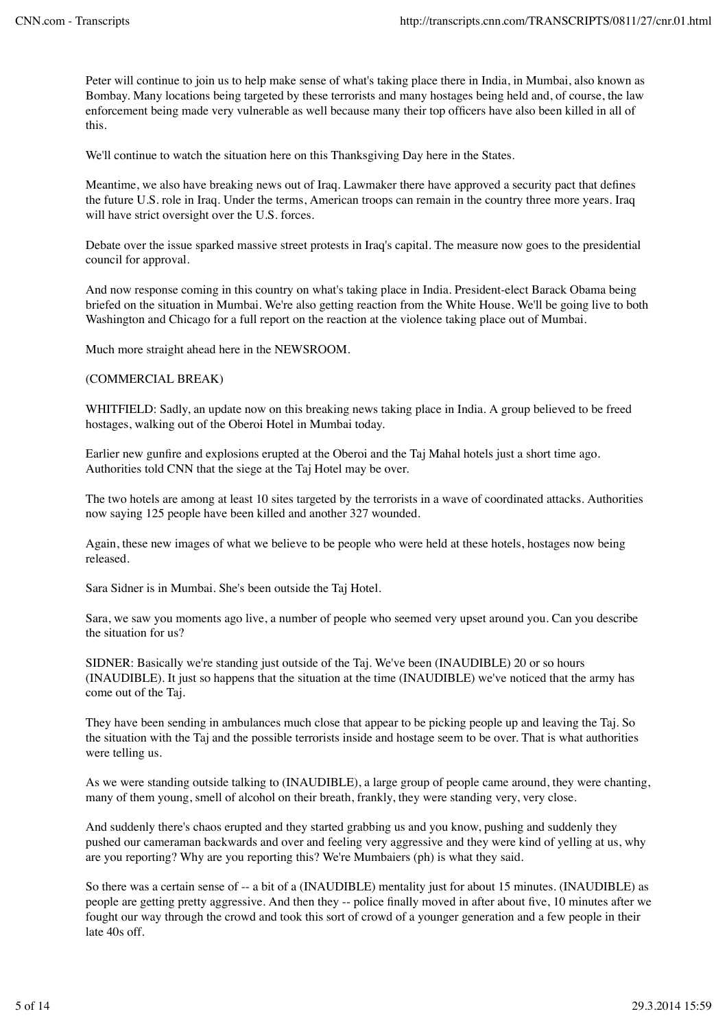Peter will continue to join us to help make sense of what's taking place there in India, in Mumbai, also known as Bombay. Many locations being targeted by these terrorists and many hostages being held and, of course, the law enforcement being made very vulnerable as well because many their top officers have also been killed in all of this.

We'll continue to watch the situation here on this Thanksgiving Day here in the States.

Meantime, we also have breaking news out of Iraq. Lawmaker there have approved a security pact that defines the future U.S. role in Iraq. Under the terms, American troops can remain in the country three more years. Iraq will have strict oversight over the U.S. forces.

Debate over the issue sparked massive street protests in Iraq's capital. The measure now goes to the presidential council for approval.

And now response coming in this country on what's taking place in India. President-elect Barack Obama being briefed on the situation in Mumbai. We're also getting reaction from the White House. We'll be going live to both Washington and Chicago for a full report on the reaction at the violence taking place out of Mumbai.

Much more straight ahead here in the NEWSROOM.

#### (COMMERCIAL BREAK)

WHITFIELD: Sadly, an update now on this breaking news taking place in India. A group believed to be freed hostages, walking out of the Oberoi Hotel in Mumbai today.

Earlier new gunfire and explosions erupted at the Oberoi and the Taj Mahal hotels just a short time ago. Authorities told CNN that the siege at the Taj Hotel may be over.

The two hotels are among at least 10 sites targeted by the terrorists in a wave of coordinated attacks. Authorities now saying 125 people have been killed and another 327 wounded.

Again, these new images of what we believe to be people who were held at these hotels, hostages now being released.

Sara Sidner is in Mumbai. She's been outside the Taj Hotel.

Sara, we saw you moments ago live, a number of people who seemed very upset around you. Can you describe the situation for us?

SIDNER: Basically we're standing just outside of the Taj. We've been (INAUDIBLE) 20 or so hours (INAUDIBLE). It just so happens that the situation at the time (INAUDIBLE) we've noticed that the army has come out of the Taj.

They have been sending in ambulances much close that appear to be picking people up and leaving the Taj. So the situation with the Taj and the possible terrorists inside and hostage seem to be over. That is what authorities were telling us.

As we were standing outside talking to (INAUDIBLE), a large group of people came around, they were chanting, many of them young, smell of alcohol on their breath, frankly, they were standing very, very close.

And suddenly there's chaos erupted and they started grabbing us and you know, pushing and suddenly they pushed our cameraman backwards and over and feeling very aggressive and they were kind of yelling at us, why are you reporting? Why are you reporting this? We're Mumbaiers (ph) is what they said.

So there was a certain sense of -- a bit of a (INAUDIBLE) mentality just for about 15 minutes. (INAUDIBLE) as people are getting pretty aggressive. And then they -- police finally moved in after about five, 10 minutes after we fought our way through the crowd and took this sort of crowd of a younger generation and a few people in their late 40s off.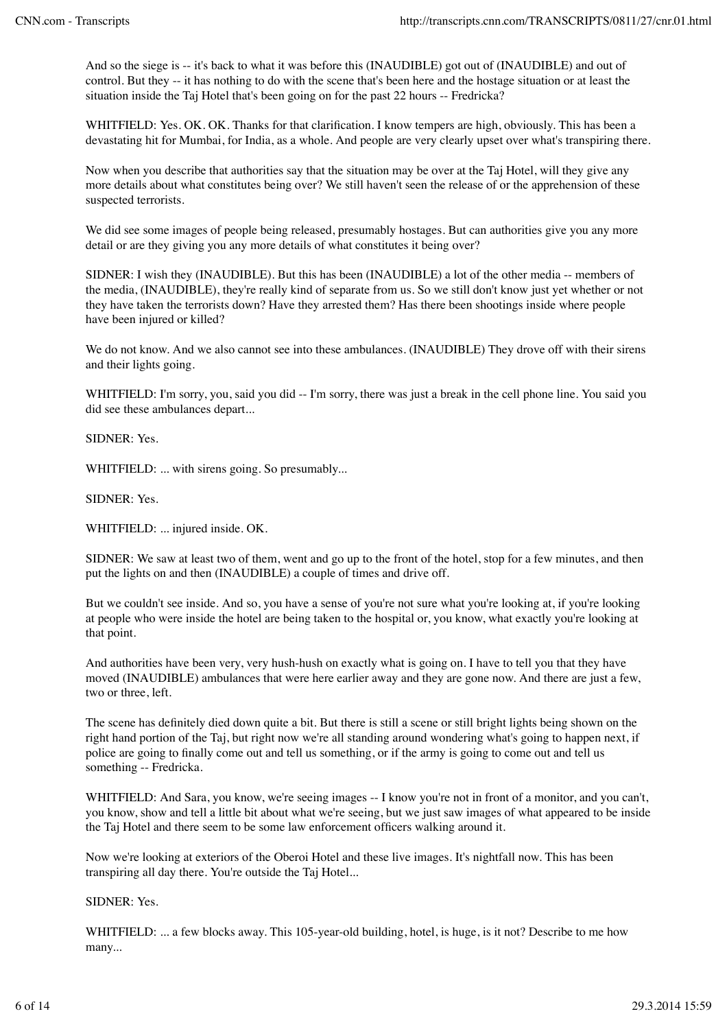And so the siege is -- it's back to what it was before this (INAUDIBLE) got out of (INAUDIBLE) and out of control. But they -- it has nothing to do with the scene that's been here and the hostage situation or at least the situation inside the Taj Hotel that's been going on for the past 22 hours -- Fredricka?

WHITFIELD: Yes. OK. OK. Thanks for that clarification. I know tempers are high, obviously. This has been a devastating hit for Mumbai, for India, as a whole. And people are very clearly upset over what's transpiring there.

Now when you describe that authorities say that the situation may be over at the Taj Hotel, will they give any more details about what constitutes being over? We still haven't seen the release of or the apprehension of these suspected terrorists.

We did see some images of people being released, presumably hostages. But can authorities give you any more detail or are they giving you any more details of what constitutes it being over?

SIDNER: I wish they (INAUDIBLE). But this has been (INAUDIBLE) a lot of the other media -- members of the media, (INAUDIBLE), they're really kind of separate from us. So we still don't know just yet whether or not they have taken the terrorists down? Have they arrested them? Has there been shootings inside where people have been injured or killed?

We do not know. And we also cannot see into these ambulances. (INAUDIBLE) They drove off with their sirens and their lights going.

WHITFIELD: I'm sorry, you, said you did -- I'm sorry, there was just a break in the cell phone line. You said you did see these ambulances depart...

SIDNER: Yes.

WHITFIELD: ... with sirens going. So presumably...

SIDNER: Yes.

WHITFIELD: ... injured inside. OK.

SIDNER: We saw at least two of them, went and go up to the front of the hotel, stop for a few minutes, and then put the lights on and then (INAUDIBLE) a couple of times and drive off.

But we couldn't see inside. And so, you have a sense of you're not sure what you're looking at, if you're looking at people who were inside the hotel are being taken to the hospital or, you know, what exactly you're looking at that point.

And authorities have been very, very hush-hush on exactly what is going on. I have to tell you that they have moved (INAUDIBLE) ambulances that were here earlier away and they are gone now. And there are just a few, two or three, left.

The scene has definitely died down quite a bit. But there is still a scene or still bright lights being shown on the right hand portion of the Taj, but right now we're all standing around wondering what's going to happen next, if police are going to finally come out and tell us something, or if the army is going to come out and tell us something -- Fredricka.

WHITFIELD: And Sara, you know, we're seeing images -- I know you're not in front of a monitor, and you can't, you know, show and tell a little bit about what we're seeing, but we just saw images of what appeared to be inside the Taj Hotel and there seem to be some law enforcement officers walking around it.

Now we're looking at exteriors of the Oberoi Hotel and these live images. It's nightfall now. This has been transpiring all day there. You're outside the Taj Hotel...

# SIDNER: Yes.

WHITFIELD: ... a few blocks away. This 105-year-old building, hotel, is huge, is it not? Describe to me how many...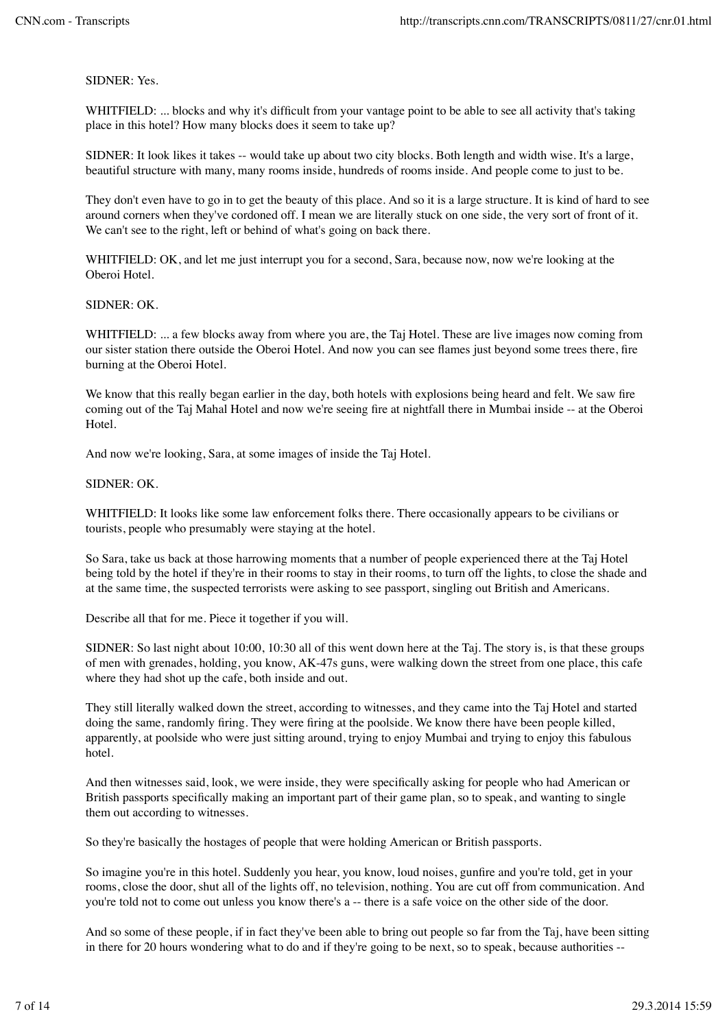SIDNER: Yes.

WHITFIELD: ... blocks and why it's difficult from your vantage point to be able to see all activity that's taking place in this hotel? How many blocks does it seem to take up?

SIDNER: It look likes it takes -- would take up about two city blocks. Both length and width wise. It's a large, beautiful structure with many, many rooms inside, hundreds of rooms inside. And people come to just to be.

They don't even have to go in to get the beauty of this place. And so it is a large structure. It is kind of hard to see around corners when they've cordoned off. I mean we are literally stuck on one side, the very sort of front of it. We can't see to the right, left or behind of what's going on back there.

WHITFIELD: OK, and let me just interrupt you for a second, Sara, because now, now we're looking at the Oberoi Hotel.

#### SIDNER: OK.

WHITFIELD: ... a few blocks away from where you are, the Taj Hotel. These are live images now coming from our sister station there outside the Oberoi Hotel. And now you can see flames just beyond some trees there, fire burning at the Oberoi Hotel.

We know that this really began earlier in the day, both hotels with explosions being heard and felt. We saw fire coming out of the Taj Mahal Hotel and now we're seeing fire at nightfall there in Mumbai inside -- at the Oberoi Hotel.

And now we're looking, Sara, at some images of inside the Taj Hotel.

#### SIDNER: OK.

WHITFIELD: It looks like some law enforcement folks there. There occasionally appears to be civilians or tourists, people who presumably were staying at the hotel.

So Sara, take us back at those harrowing moments that a number of people experienced there at the Taj Hotel being told by the hotel if they're in their rooms to stay in their rooms, to turn off the lights, to close the shade and at the same time, the suspected terrorists were asking to see passport, singling out British and Americans.

Describe all that for me. Piece it together if you will.

SIDNER: So last night about 10:00, 10:30 all of this went down here at the Taj. The story is, is that these groups of men with grenades, holding, you know, AK-47s guns, were walking down the street from one place, this cafe where they had shot up the cafe, both inside and out.

They still literally walked down the street, according to witnesses, and they came into the Taj Hotel and started doing the same, randomly firing. They were firing at the poolside. We know there have been people killed, apparently, at poolside who were just sitting around, trying to enjoy Mumbai and trying to enjoy this fabulous hotel.

And then witnesses said, look, we were inside, they were specifically asking for people who had American or British passports specifically making an important part of their game plan, so to speak, and wanting to single them out according to witnesses.

So they're basically the hostages of people that were holding American or British passports.

So imagine you're in this hotel. Suddenly you hear, you know, loud noises, gunfire and you're told, get in your rooms, close the door, shut all of the lights off, no television, nothing. You are cut off from communication. And you're told not to come out unless you know there's a -- there is a safe voice on the other side of the door.

And so some of these people, if in fact they've been able to bring out people so far from the Taj, have been sitting in there for 20 hours wondering what to do and if they're going to be next, so to speak, because authorities --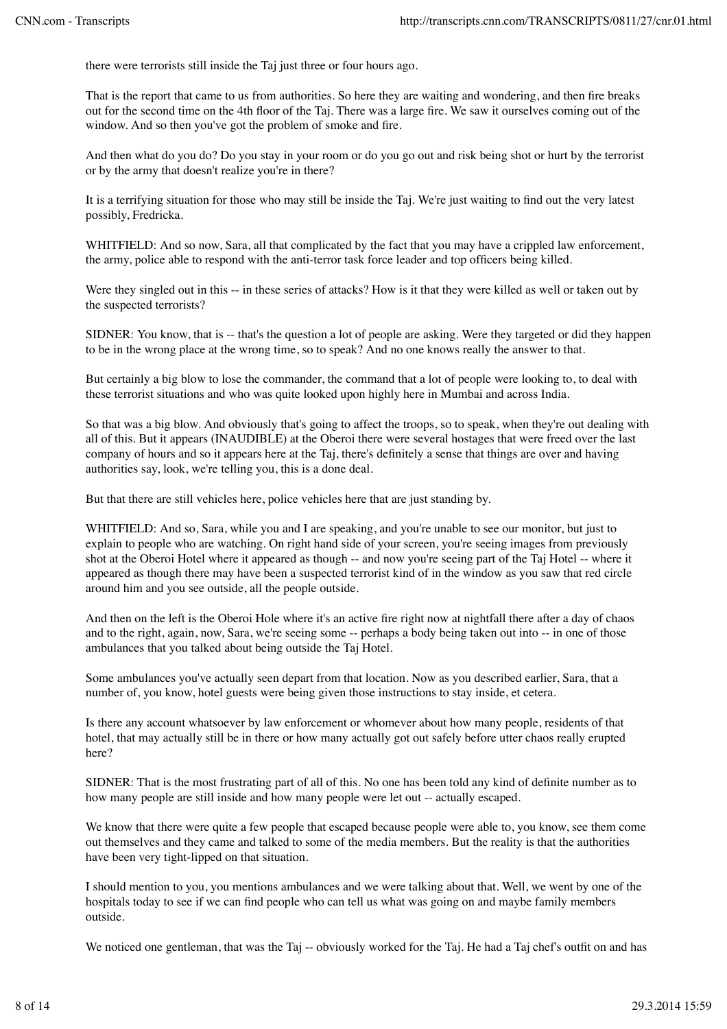there were terrorists still inside the Taj just three or four hours ago.

That is the report that came to us from authorities. So here they are waiting and wondering, and then fire breaks out for the second time on the 4th floor of the Taj. There was a large fire. We saw it ourselves coming out of the window. And so then you've got the problem of smoke and fire.

And then what do you do? Do you stay in your room or do you go out and risk being shot or hurt by the terrorist or by the army that doesn't realize you're in there?

It is a terrifying situation for those who may still be inside the Taj. We're just waiting to find out the very latest possibly, Fredricka.

WHITFIELD: And so now, Sara, all that complicated by the fact that you may have a crippled law enforcement, the army, police able to respond with the anti-terror task force leader and top officers being killed.

Were they singled out in this -- in these series of attacks? How is it that they were killed as well or taken out by the suspected terrorists?

SIDNER: You know, that is -- that's the question a lot of people are asking. Were they targeted or did they happen to be in the wrong place at the wrong time, so to speak? And no one knows really the answer to that.

But certainly a big blow to lose the commander, the command that a lot of people were looking to, to deal with these terrorist situations and who was quite looked upon highly here in Mumbai and across India.

So that was a big blow. And obviously that's going to affect the troops, so to speak, when they're out dealing with all of this. But it appears (INAUDIBLE) at the Oberoi there were several hostages that were freed over the last company of hours and so it appears here at the Taj, there's definitely a sense that things are over and having authorities say, look, we're telling you, this is a done deal.

But that there are still vehicles here, police vehicles here that are just standing by.

WHITFIELD: And so, Sara, while you and I are speaking, and you're unable to see our monitor, but just to explain to people who are watching. On right hand side of your screen, you're seeing images from previously shot at the Oberoi Hotel where it appeared as though -- and now you're seeing part of the Taj Hotel -- where it appeared as though there may have been a suspected terrorist kind of in the window as you saw that red circle around him and you see outside, all the people outside.

And then on the left is the Oberoi Hole where it's an active fire right now at nightfall there after a day of chaos and to the right, again, now, Sara, we're seeing some -- perhaps a body being taken out into -- in one of those ambulances that you talked about being outside the Taj Hotel.

Some ambulances you've actually seen depart from that location. Now as you described earlier, Sara, that a number of, you know, hotel guests were being given those instructions to stay inside, et cetera.

Is there any account whatsoever by law enforcement or whomever about how many people, residents of that hotel, that may actually still be in there or how many actually got out safely before utter chaos really erupted here?

SIDNER: That is the most frustrating part of all of this. No one has been told any kind of definite number as to how many people are still inside and how many people were let out -- actually escaped.

We know that there were quite a few people that escaped because people were able to, you know, see them come out themselves and they came and talked to some of the media members. But the reality is that the authorities have been very tight-lipped on that situation.

I should mention to you, you mentions ambulances and we were talking about that. Well, we went by one of the hospitals today to see if we can find people who can tell us what was going on and maybe family members outside.

We noticed one gentleman, that was the Taj -- obviously worked for the Taj. He had a Taj chef's outfit on and has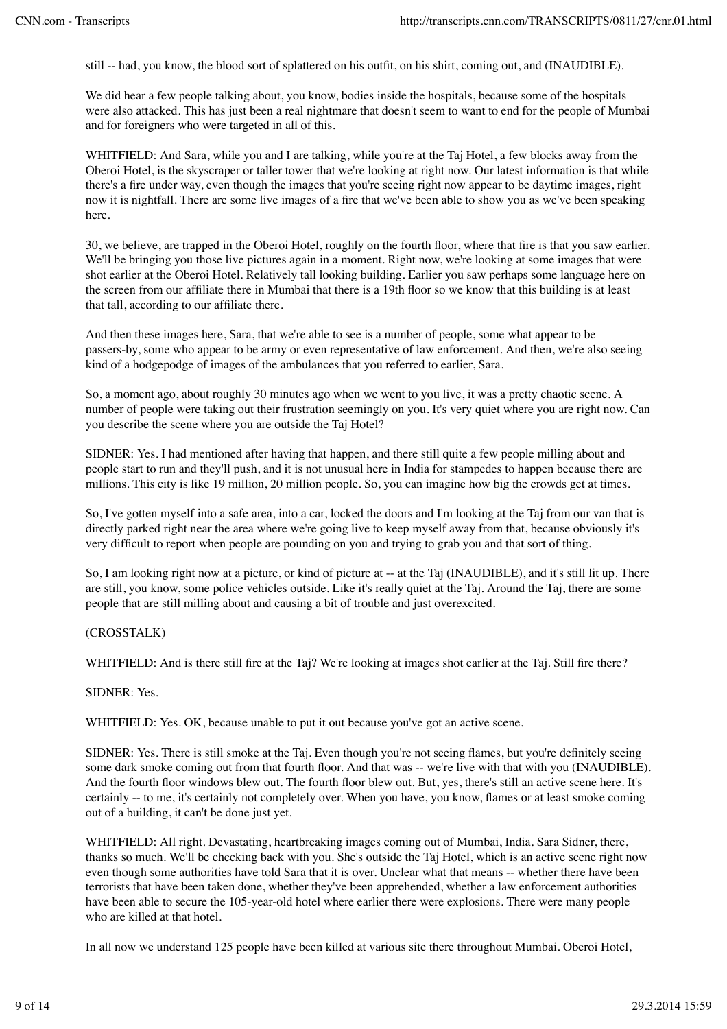still -- had, you know, the blood sort of splattered on his outfit, on his shirt, coming out, and (INAUDIBLE).

We did hear a few people talking about, you know, bodies inside the hospitals, because some of the hospitals were also attacked. This has just been a real nightmare that doesn't seem to want to end for the people of Mumbai and for foreigners who were targeted in all of this.

WHITFIELD: And Sara, while you and I are talking, while you're at the Taj Hotel, a few blocks away from the Oberoi Hotel, is the skyscraper or taller tower that we're looking at right now. Our latest information is that while there's a fire under way, even though the images that you're seeing right now appear to be daytime images, right now it is nightfall. There are some live images of a fire that we've been able to show you as we've been speaking here.

30, we believe, are trapped in the Oberoi Hotel, roughly on the fourth floor, where that fire is that you saw earlier. We'll be bringing you those live pictures again in a moment. Right now, we're looking at some images that were shot earlier at the Oberoi Hotel. Relatively tall looking building. Earlier you saw perhaps some language here on the screen from our affiliate there in Mumbai that there is a 19th floor so we know that this building is at least that tall, according to our affiliate there.

And then these images here, Sara, that we're able to see is a number of people, some what appear to be passers-by, some who appear to be army or even representative of law enforcement. And then, we're also seeing kind of a hodgepodge of images of the ambulances that you referred to earlier, Sara.

So, a moment ago, about roughly 30 minutes ago when we went to you live, it was a pretty chaotic scene. A number of people were taking out their frustration seemingly on you. It's very quiet where you are right now. Can you describe the scene where you are outside the Taj Hotel?

SIDNER: Yes. I had mentioned after having that happen, and there still quite a few people milling about and people start to run and they'll push, and it is not unusual here in India for stampedes to happen because there are millions. This city is like 19 million, 20 million people. So, you can imagine how big the crowds get at times.

So, I've gotten myself into a safe area, into a car, locked the doors and I'm looking at the Taj from our van that is directly parked right near the area where we're going live to keep myself away from that, because obviously it's very difficult to report when people are pounding on you and trying to grab you and that sort of thing.

So, I am looking right now at a picture, or kind of picture at -- at the Taj (INAUDIBLE), and it's still lit up. There are still, you know, some police vehicles outside. Like it's really quiet at the Taj. Around the Taj, there are some people that are still milling about and causing a bit of trouble and just overexcited.

# (CROSSTALK)

WHITFIELD: And is there still fire at the Taj? We're looking at images shot earlier at the Taj. Still fire there?

#### SIDNER: Yes.

WHITFIELD: Yes. OK, because unable to put it out because you've got an active scene.

SIDNER: Yes. There is still smoke at the Taj. Even though you're not seeing flames, but you're definitely seeing some dark smoke coming out from that fourth floor. And that was -- we're live with that with you (INAUDIBLE). And the fourth floor windows blew out. The fourth floor blew out. But, yes, there's still an active scene here. It's certainly -- to me, it's certainly not completely over. When you have, you know, flames or at least smoke coming out of a building, it can't be done just yet.

WHITFIELD: All right. Devastating, heartbreaking images coming out of Mumbai, India. Sara Sidner, there, thanks so much. We'll be checking back with you. She's outside the Taj Hotel, which is an active scene right now even though some authorities have told Sara that it is over. Unclear what that means -- whether there have been terrorists that have been taken done, whether they've been apprehended, whether a law enforcement authorities have been able to secure the 105-year-old hotel where earlier there were explosions. There were many people who are killed at that hotel.

In all now we understand 125 people have been killed at various site there throughout Mumbai. Oberoi Hotel,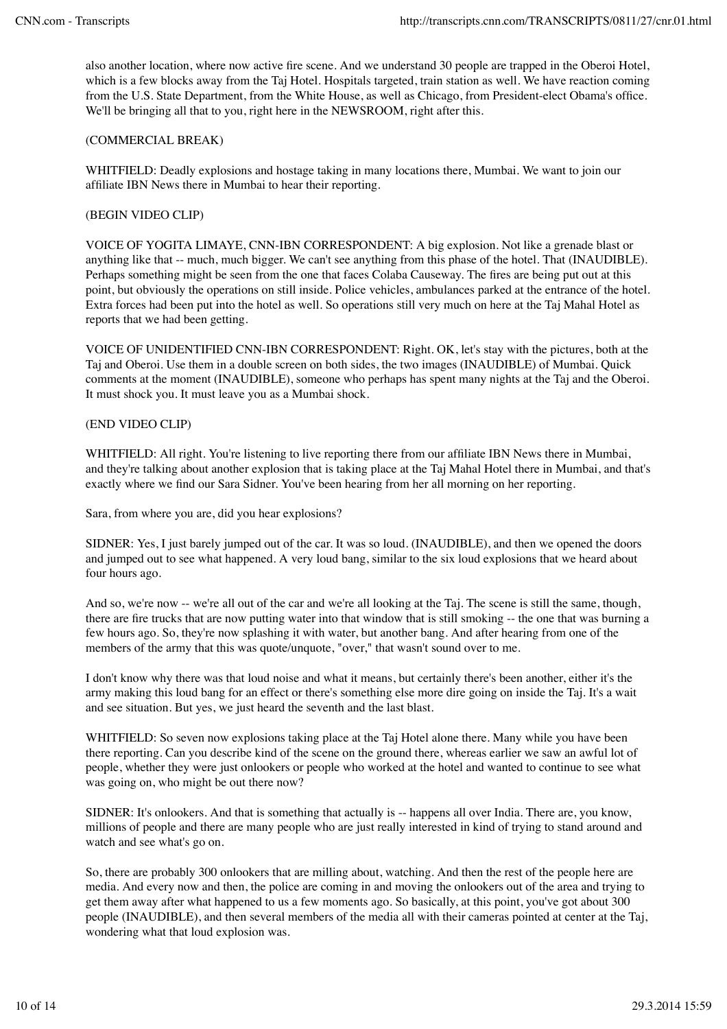also another location, where now active fire scene. And we understand 30 people are trapped in the Oberoi Hotel, which is a few blocks away from the Taj Hotel. Hospitals targeted, train station as well. We have reaction coming from the U.S. State Department, from the White House, as well as Chicago, from President-elect Obama's office. We'll be bringing all that to you, right here in the NEWSROOM, right after this.

## (COMMERCIAL BREAK)

WHITFIELD: Deadly explosions and hostage taking in many locations there, Mumbai. We want to join our affiliate IBN News there in Mumbai to hear their reporting.

## (BEGIN VIDEO CLIP)

VOICE OF YOGITA LIMAYE, CNN-IBN CORRESPONDENT: A big explosion. Not like a grenade blast or anything like that -- much, much bigger. We can't see anything from this phase of the hotel. That (INAUDIBLE). Perhaps something might be seen from the one that faces Colaba Causeway. The fires are being put out at this point, but obviously the operations on still inside. Police vehicles, ambulances parked at the entrance of the hotel. Extra forces had been put into the hotel as well. So operations still very much on here at the Taj Mahal Hotel as reports that we had been getting.

VOICE OF UNIDENTIFIED CNN-IBN CORRESPONDENT: Right. OK, let's stay with the pictures, both at the Taj and Oberoi. Use them in a double screen on both sides, the two images (INAUDIBLE) of Mumbai. Quick comments at the moment (INAUDIBLE), someone who perhaps has spent many nights at the Taj and the Oberoi. It must shock you. It must leave you as a Mumbai shock.

### (END VIDEO CLIP)

WHITFIELD: All right. You're listening to live reporting there from our affiliate IBN News there in Mumbai, and they're talking about another explosion that is taking place at the Taj Mahal Hotel there in Mumbai, and that's exactly where we find our Sara Sidner. You've been hearing from her all morning on her reporting.

Sara, from where you are, did you hear explosions?

SIDNER: Yes, I just barely jumped out of the car. It was so loud. (INAUDIBLE), and then we opened the doors and jumped out to see what happened. A very loud bang, similar to the six loud explosions that we heard about four hours ago.

And so, we're now -- we're all out of the car and we're all looking at the Taj. The scene is still the same, though, there are fire trucks that are now putting water into that window that is still smoking -- the one that was burning a few hours ago. So, they're now splashing it with water, but another bang. And after hearing from one of the members of the army that this was quote/unquote, "over," that wasn't sound over to me.

I don't know why there was that loud noise and what it means, but certainly there's been another, either it's the army making this loud bang for an effect or there's something else more dire going on inside the Taj. It's a wait and see situation. But yes, we just heard the seventh and the last blast.

WHITFIELD: So seven now explosions taking place at the Taj Hotel alone there. Many while you have been there reporting. Can you describe kind of the scene on the ground there, whereas earlier we saw an awful lot of people, whether they were just onlookers or people who worked at the hotel and wanted to continue to see what was going on, who might be out there now?

SIDNER: It's onlookers. And that is something that actually is -- happens all over India. There are, you know, millions of people and there are many people who are just really interested in kind of trying to stand around and watch and see what's go on.

So, there are probably 300 onlookers that are milling about, watching. And then the rest of the people here are media. And every now and then, the police are coming in and moving the onlookers out of the area and trying to get them away after what happened to us a few moments ago. So basically, at this point, you've got about 300 people (INAUDIBLE), and then several members of the media all with their cameras pointed at center at the Taj, wondering what that loud explosion was.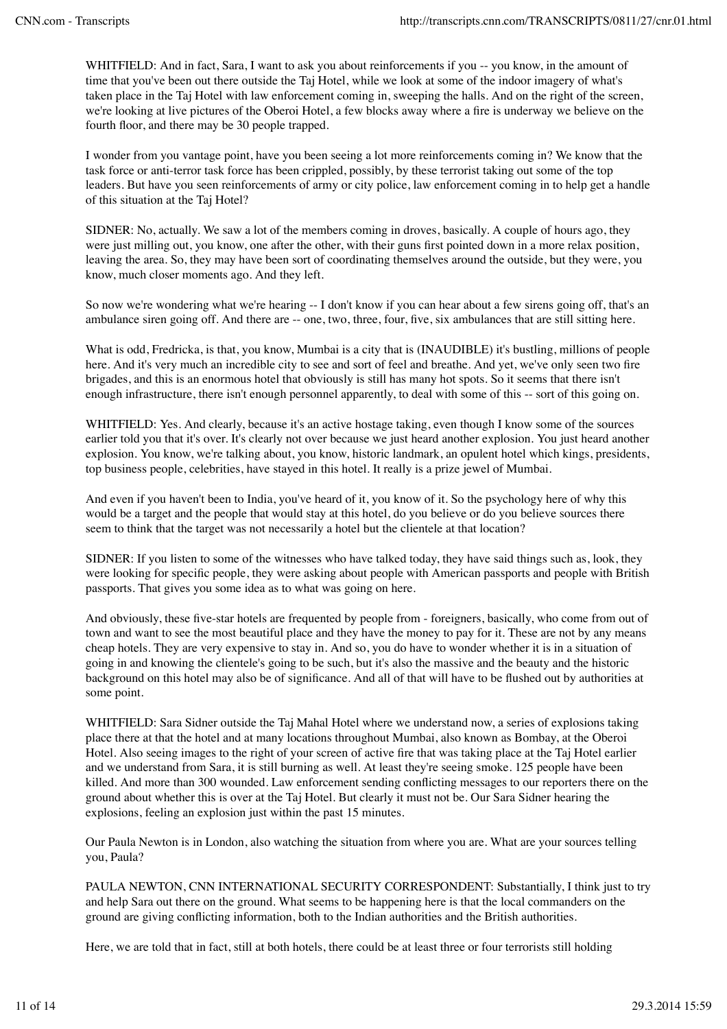WHITFIELD: And in fact, Sara, I want to ask you about reinforcements if you -- you know, in the amount of time that you've been out there outside the Taj Hotel, while we look at some of the indoor imagery of what's taken place in the Taj Hotel with law enforcement coming in, sweeping the halls. And on the right of the screen, we're looking at live pictures of the Oberoi Hotel, a few blocks away where a fire is underway we believe on the fourth floor, and there may be 30 people trapped.

I wonder from you vantage point, have you been seeing a lot more reinforcements coming in? We know that the task force or anti-terror task force has been crippled, possibly, by these terrorist taking out some of the top leaders. But have you seen reinforcements of army or city police, law enforcement coming in to help get a handle of this situation at the Taj Hotel?

SIDNER: No, actually. We saw a lot of the members coming in droves, basically. A couple of hours ago, they were just milling out, you know, one after the other, with their guns first pointed down in a more relax position, leaving the area. So, they may have been sort of coordinating themselves around the outside, but they were, you know, much closer moments ago. And they left.

So now we're wondering what we're hearing -- I don't know if you can hear about a few sirens going off, that's an ambulance siren going off. And there are -- one, two, three, four, five, six ambulances that are still sitting here.

What is odd, Fredricka, is that, you know, Mumbai is a city that is (INAUDIBLE) it's bustling, millions of people here. And it's very much an incredible city to see and sort of feel and breathe. And yet, we've only seen two fire brigades, and this is an enormous hotel that obviously is still has many hot spots. So it seems that there isn't enough infrastructure, there isn't enough personnel apparently, to deal with some of this -- sort of this going on.

WHITFIELD: Yes. And clearly, because it's an active hostage taking, even though I know some of the sources earlier told you that it's over. It's clearly not over because we just heard another explosion. You just heard another explosion. You know, we're talking about, you know, historic landmark, an opulent hotel which kings, presidents, top business people, celebrities, have stayed in this hotel. It really is a prize jewel of Mumbai.

And even if you haven't been to India, you've heard of it, you know of it. So the psychology here of why this would be a target and the people that would stay at this hotel, do you believe or do you believe sources there seem to think that the target was not necessarily a hotel but the clientele at that location?

SIDNER: If you listen to some of the witnesses who have talked today, they have said things such as, look, they were looking for specific people, they were asking about people with American passports and people with British passports. That gives you some idea as to what was going on here.

And obviously, these five-star hotels are frequented by people from - foreigners, basically, who come from out of town and want to see the most beautiful place and they have the money to pay for it. These are not by any means cheap hotels. They are very expensive to stay in. And so, you do have to wonder whether it is in a situation of going in and knowing the clientele's going to be such, but it's also the massive and the beauty and the historic background on this hotel may also be of significance. And all of that will have to be flushed out by authorities at some point.

WHITFIELD: Sara Sidner outside the Taj Mahal Hotel where we understand now, a series of explosions taking place there at that the hotel and at many locations throughout Mumbai, also known as Bombay, at the Oberoi Hotel. Also seeing images to the right of your screen of active fire that was taking place at the Taj Hotel earlier and we understand from Sara, it is still burning as well. At least they're seeing smoke. 125 people have been killed. And more than 300 wounded. Law enforcement sending conflicting messages to our reporters there on the ground about whether this is over at the Taj Hotel. But clearly it must not be. Our Sara Sidner hearing the explosions, feeling an explosion just within the past 15 minutes.

Our Paula Newton is in London, also watching the situation from where you are. What are your sources telling you, Paula?

PAULA NEWTON, CNN INTERNATIONAL SECURITY CORRESPONDENT: Substantially, I think just to try and help Sara out there on the ground. What seems to be happening here is that the local commanders on the ground are giving conflicting information, both to the Indian authorities and the British authorities.

Here, we are told that in fact, still at both hotels, there could be at least three or four terrorists still holding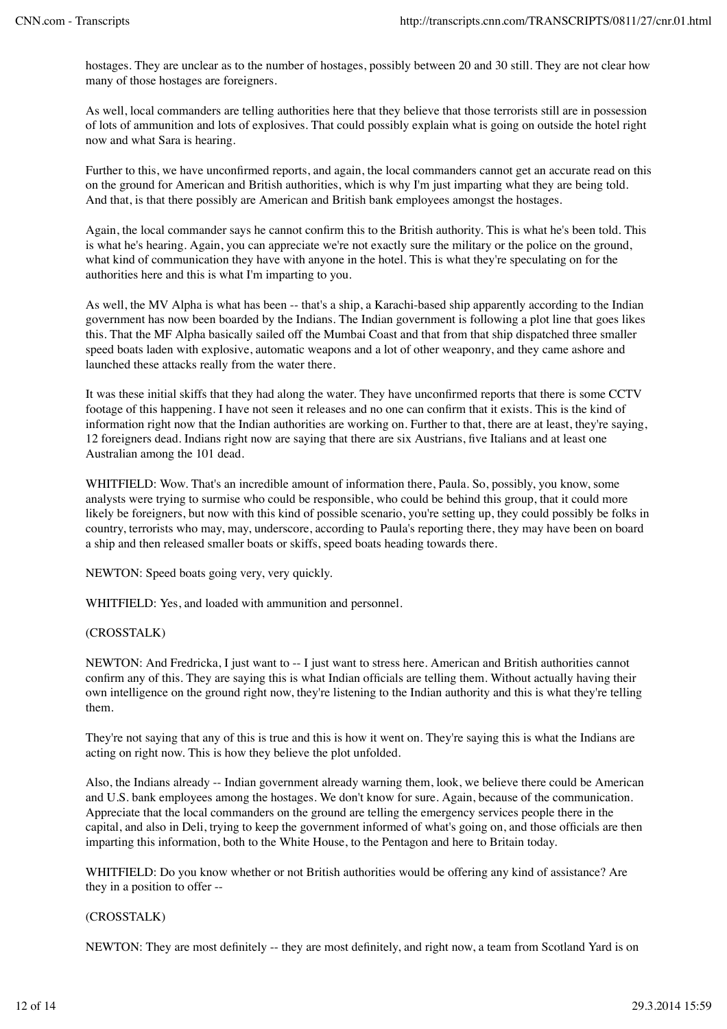hostages. They are unclear as to the number of hostages, possibly between 20 and 30 still. They are not clear how many of those hostages are foreigners.

As well, local commanders are telling authorities here that they believe that those terrorists still are in possession of lots of ammunition and lots of explosives. That could possibly explain what is going on outside the hotel right now and what Sara is hearing.

Further to this, we have unconfirmed reports, and again, the local commanders cannot get an accurate read on this on the ground for American and British authorities, which is why I'm just imparting what they are being told. And that, is that there possibly are American and British bank employees amongst the hostages.

Again, the local commander says he cannot confirm this to the British authority. This is what he's been told. This is what he's hearing. Again, you can appreciate we're not exactly sure the military or the police on the ground, what kind of communication they have with anyone in the hotel. This is what they're speculating on for the authorities here and this is what I'm imparting to you.

As well, the MV Alpha is what has been -- that's a ship, a Karachi-based ship apparently according to the Indian government has now been boarded by the Indians. The Indian government is following a plot line that goes likes this. That the MF Alpha basically sailed off the Mumbai Coast and that from that ship dispatched three smaller speed boats laden with explosive, automatic weapons and a lot of other weaponry, and they came ashore and launched these attacks really from the water there.

It was these initial skiffs that they had along the water. They have unconfirmed reports that there is some CCTV footage of this happening. I have not seen it releases and no one can confirm that it exists. This is the kind of information right now that the Indian authorities are working on. Further to that, there are at least, they're saying, 12 foreigners dead. Indians right now are saying that there are six Austrians, five Italians and at least one Australian among the 101 dead.

WHITFIELD: Wow. That's an incredible amount of information there, Paula. So, possibly, you know, some analysts were trying to surmise who could be responsible, who could be behind this group, that it could more likely be foreigners, but now with this kind of possible scenario, you're setting up, they could possibly be folks in country, terrorists who may, may, underscore, according to Paula's reporting there, they may have been on board a ship and then released smaller boats or skiffs, speed boats heading towards there.

NEWTON: Speed boats going very, very quickly.

WHITFIELD: Yes, and loaded with ammunition and personnel.

# (CROSSTALK)

NEWTON: And Fredricka, I just want to -- I just want to stress here. American and British authorities cannot confirm any of this. They are saying this is what Indian officials are telling them. Without actually having their own intelligence on the ground right now, they're listening to the Indian authority and this is what they're telling them.

They're not saying that any of this is true and this is how it went on. They're saying this is what the Indians are acting on right now. This is how they believe the plot unfolded.

Also, the Indians already -- Indian government already warning them, look, we believe there could be American and U.S. bank employees among the hostages. We don't know for sure. Again, because of the communication. Appreciate that the local commanders on the ground are telling the emergency services people there in the capital, and also in Deli, trying to keep the government informed of what's going on, and those officials are then imparting this information, both to the White House, to the Pentagon and here to Britain today.

WHITFIELD: Do you know whether or not British authorities would be offering any kind of assistance? Are they in a position to offer --

#### (CROSSTALK)

NEWTON: They are most definitely -- they are most definitely, and right now, a team from Scotland Yard is on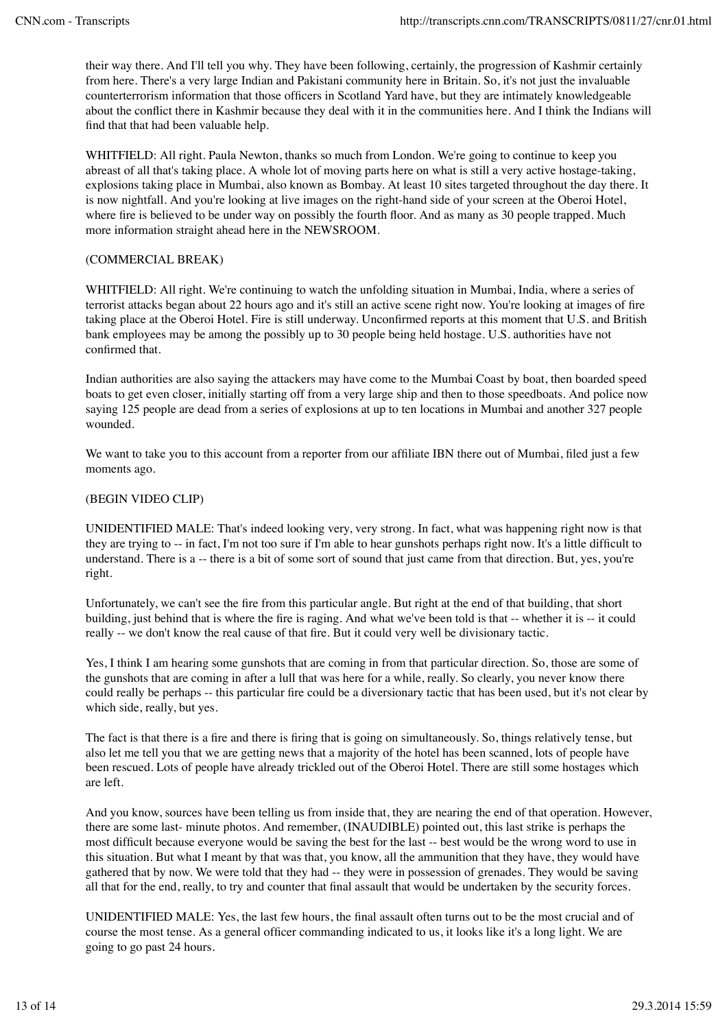their way there. And I'll tell you why. They have been following, certainly, the progression of Kashmir certainly from here. There's a very large Indian and Pakistani community here in Britain. So, it's not just the invaluable counterterrorism information that those officers in Scotland Yard have, but they are intimately knowledgeable about the conflict there in Kashmir because they deal with it in the communities here. And I think the Indians will find that that had been valuable help.

WHITFIELD: All right. Paula Newton, thanks so much from London. We're going to continue to keep you abreast of all that's taking place. A whole lot of moving parts here on what is still a very active hostage-taking, explosions taking place in Mumbai, also known as Bombay. At least 10 sites targeted throughout the day there. It is now nightfall. And you're looking at live images on the right-hand side of your screen at the Oberoi Hotel, where fire is believed to be under way on possibly the fourth floor. And as many as 30 people trapped. Much more information straight ahead here in the NEWSROOM.

# (COMMERCIAL BREAK)

WHITFIELD: All right. We're continuing to watch the unfolding situation in Mumbai, India, where a series of terrorist attacks began about 22 hours ago and it's still an active scene right now. You're looking at images of fire taking place at the Oberoi Hotel. Fire is still underway. Unconfirmed reports at this moment that U.S. and British bank employees may be among the possibly up to 30 people being held hostage. U.S. authorities have not confirmed that.

Indian authorities are also saying the attackers may have come to the Mumbai Coast by boat, then boarded speed boats to get even closer, initially starting off from a very large ship and then to those speedboats. And police now saying 125 people are dead from a series of explosions at up to ten locations in Mumbai and another 327 people wounded.

We want to take you to this account from a reporter from our affiliate IBN there out of Mumbai, filed just a few moments ago.

# (BEGIN VIDEO CLIP)

UNIDENTIFIED MALE: That's indeed looking very, very strong. In fact, what was happening right now is that they are trying to -- in fact, I'm not too sure if I'm able to hear gunshots perhaps right now. It's a little difficult to understand. There is a -- there is a bit of some sort of sound that just came from that direction. But, yes, you're right.

Unfortunately, we can't see the fire from this particular angle. But right at the end of that building, that short building, just behind that is where the fire is raging. And what we've been told is that -- whether it is -- it could really -- we don't know the real cause of that fire. But it could very well be divisionary tactic.

Yes, I think I am hearing some gunshots that are coming in from that particular direction. So, those are some of the gunshots that are coming in after a lull that was here for a while, really. So clearly, you never know there could really be perhaps -- this particular fire could be a diversionary tactic that has been used, but it's not clear by which side, really, but yes.

The fact is that there is a fire and there is firing that is going on simultaneously. So, things relatively tense, but also let me tell you that we are getting news that a majority of the hotel has been scanned, lots of people have been rescued. Lots of people have already trickled out of the Oberoi Hotel. There are still some hostages which are left.

And you know, sources have been telling us from inside that, they are nearing the end of that operation. However, there are some last- minute photos. And remember, (INAUDIBLE) pointed out, this last strike is perhaps the most difficult because everyone would be saving the best for the last -- best would be the wrong word to use in this situation. But what I meant by that was that, you know, all the ammunition that they have, they would have gathered that by now. We were told that they had -- they were in possession of grenades. They would be saving all that for the end, really, to try and counter that final assault that would be undertaken by the security forces.

UNIDENTIFIED MALE: Yes, the last few hours, the final assault often turns out to be the most crucial and of course the most tense. As a general officer commanding indicated to us, it looks like it's a long light. We are going to go past 24 hours.